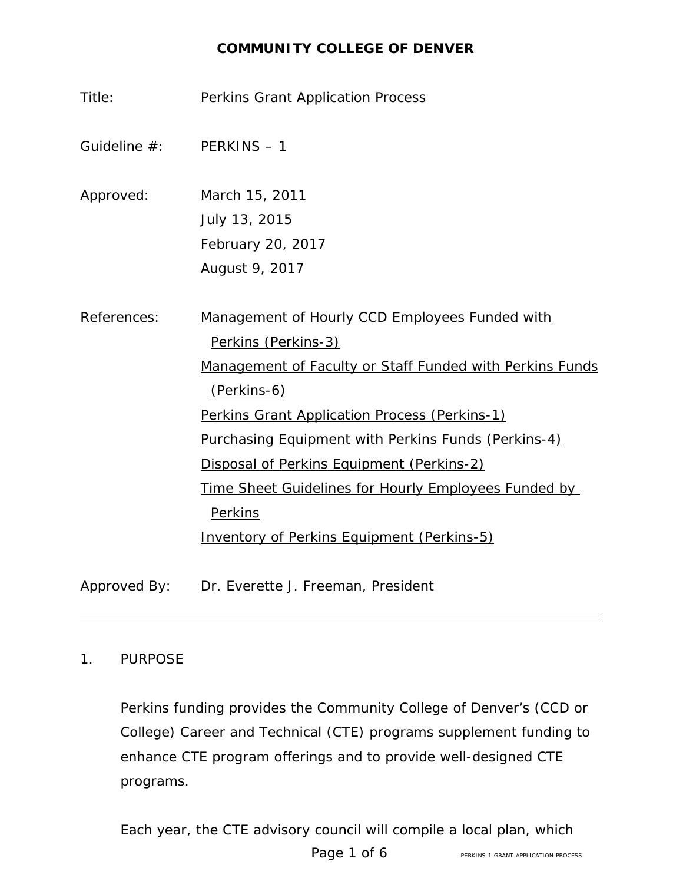# **COMMUNITY COLLEGE OF DENVER**

| Title:                      | <b>Perkins Grant Application Process</b>                                |
|-----------------------------|-------------------------------------------------------------------------|
| Guideline $#$ : PERKINS - 1 |                                                                         |
| Approved:                   | March 15, 2011<br>July 13, 2015<br>February 20, 2017<br>August 9, 2017  |
|                             |                                                                         |
| References:                 | Management of Hourly CCD Employees Funded with<br>Perkins (Perkins-3)   |
|                             | Management of Faculty or Staff Funded with Perkins Funds<br>(Perkins-6) |
|                             | Perkins Grant Application Process (Perkins-1)                           |
|                             | Purchasing Equipment with Perkins Funds (Perkins-4)                     |
|                             | Disposal of Perkins Equipment (Perkins-2)                               |
|                             | <u>Time Sheet Guidelines for Hourly Employees Funded by</u>             |
|                             | <b>Perkins</b>                                                          |
|                             | <b>Inventory of Perkins Equipment (Perkins-5)</b>                       |
| Approved By:                | Dr. Everette J. Freeman, President                                      |

#### 1. PURPOSE

Perkins funding provides the Community College of Denver's (CCD or College) Career and Technical (CTE) programs supplement funding to enhance CTE program offerings and to provide well-designed CTE programs.

Each year, the CTE advisory council will compile a local plan, which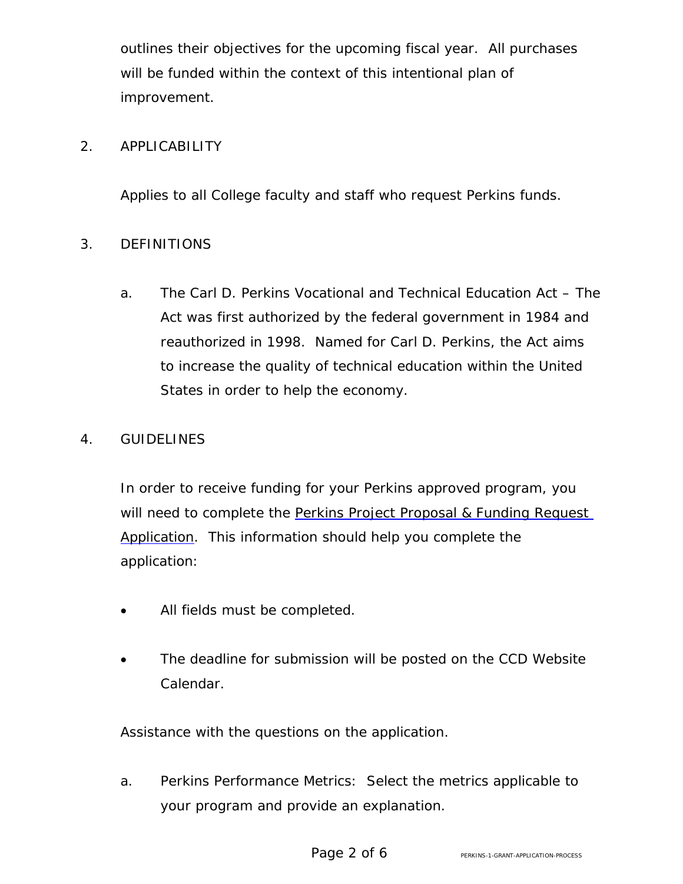outlines their objectives for the upcoming fiscal year. All purchases will be funded within the context of this intentional plan of improvement.

# 2. APPLICABILITY

Applies to all College faculty and staff who request Perkins funds.

# 3. DEFINITIONS

a. The Carl D. Perkins Vocational and Technical Education Act – The Act was first authorized by the federal government in 1984 and reauthorized in 1998. Named for Carl D. Perkins, the Act aims to increase the quality of technical education within the United States in order to help the economy.

### 4. GUIDELINES

In order to receive funding for your Perkins approved program, you will need to complete the [Perkins Project Proposal &](https://www.ccd.edu/docs/perkins-project-proposal-funding-request) Funding Request [Application.](https://www.ccd.edu/docs/perkins-project-proposal-funding-request) This information should help you complete the application:

- All fields must be completed.
- The deadline for submission will be posted on the [CCD](https://www.ccd.edu/calendar) Website [Calendar.](https://www.ccd.edu/calendar)

Assistance with the questions on the application.

a. Perkins Performance Metrics: Select the metrics applicable to your program and provide an explanation.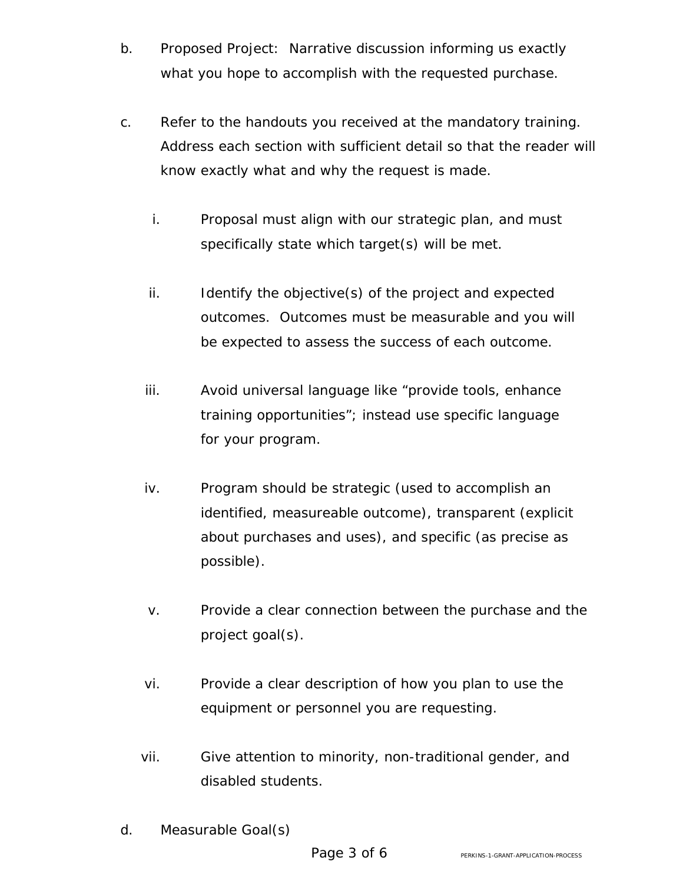- b. Proposed Project: Narrative discussion informing us exactly what you hope to accomplish with the requested purchase.
- c. Refer to the handouts you received at the mandatory training. Address each section with sufficient detail so that the reader will know exactly what and why the request is made.
	- i. Proposal must align with our strategic plan, and must specifically state which target(s) will be met.
	- ii. Identify the objective(s) of the project and expected outcomes. Outcomes must be measurable and you will be expected to assess the success of each outcome.
	- iii. Avoid universal language like "provide tools, enhance training opportunities"; instead use specific language for your program.
	- iv. Program should be strategic (used to accomplish an identified, measureable outcome), transparent (explicit about purchases and uses), and specific (as precise as possible).
	- v. Provide a clear connection between the purchase and the project goal(s).
	- vi. Provide a clear description of how you plan to use the equipment or personnel you are requesting.
	- vii. Give attention to minority, non-traditional gender, and disabled students.
- d. Measurable Goal(s)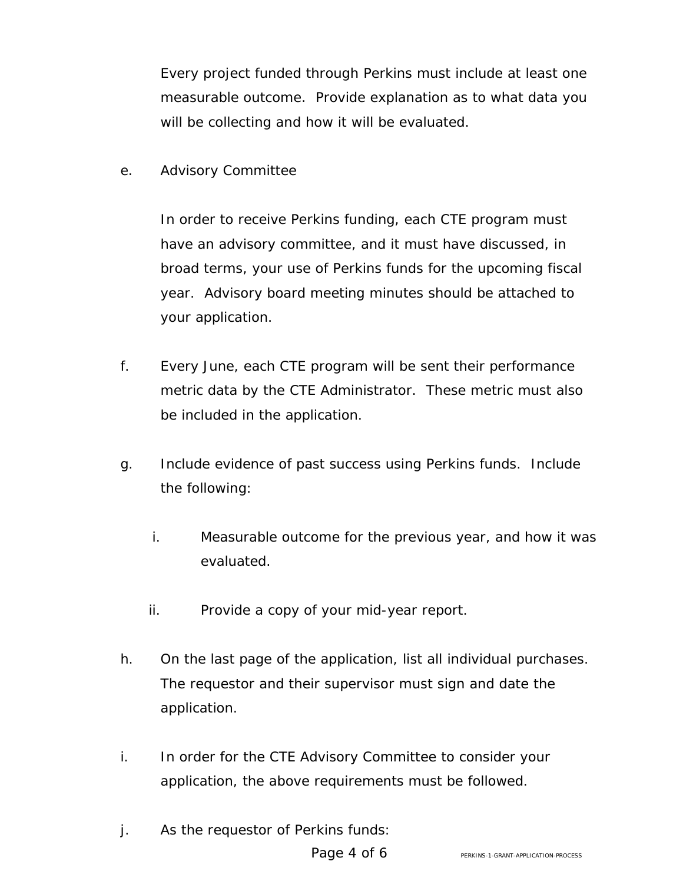Every project funded through Perkins must include at least one measurable outcome. Provide explanation as to what data you will be collecting and how it will be evaluated.

e. Advisory Committee

In order to receive Perkins funding, each CTE program must have an advisory committee, and it must have discussed, in broad terms, your use of Perkins funds for the upcoming fiscal year. Advisory board meeting minutes should be attached to your application.

- f. Every June, each CTE program will be sent their performance metric data by the CTE Administrator. These metric must also be included in the application.
- g. Include evidence of past success using Perkins funds. Include the following:
	- i. Measurable outcome for the previous year, and how it was evaluated.
	- ii. Provide a copy of your mid-year report.
- h. On the last page of the application, list all individual purchases. The requestor and their supervisor must sign and date the application.
- i. In order for the CTE Advisory Committee to consider your application, the above requirements must be followed.
- j. As the requestor of Perkins funds: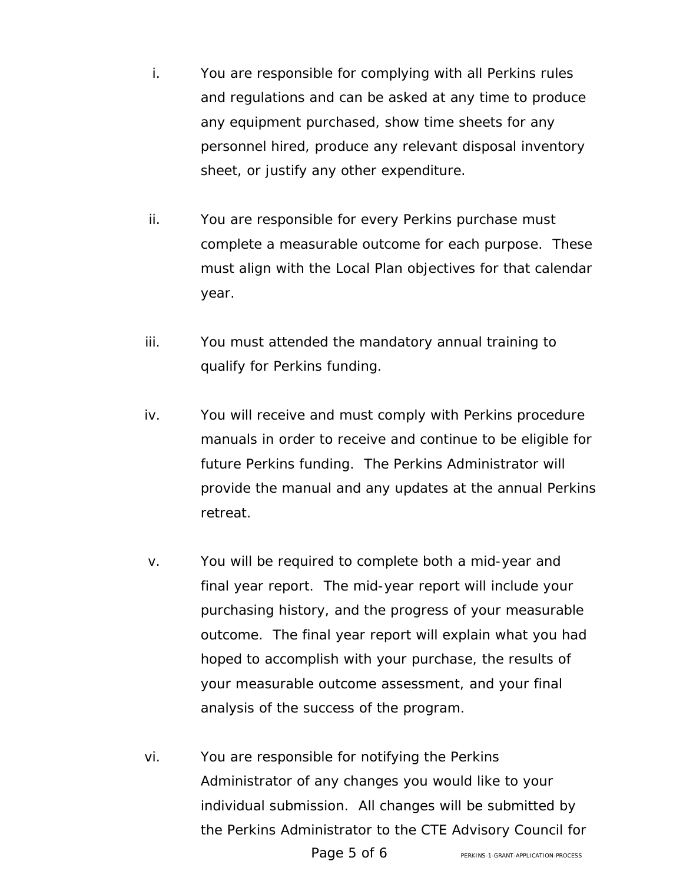- i. You are responsible for complying with all Perkins rules and regulations and can be asked at any time to produce any equipment purchased, show time sheets for any personnel hired, produce any relevant disposal inventory sheet, or justify any other expenditure.
- ii. You are responsible for every Perkins purchase must complete a measurable outcome for each purpose. These must align with the Local Plan objectives for that calendar year.
- iii. You must attended the mandatory annual training to qualify for Perkins funding.
- iv. You will receive and must comply with Perkins procedure manuals in order to receive and continue to be eligible for future Perkins funding. The Perkins Administrator will provide the manual and any updates at the annual Perkins retreat.
- v. You will be required to complete both a mid-year and final year report. The mid-year report will include your purchasing history, and the progress of your measurable outcome. The final year report will explain what you had hoped to accomplish with your purchase, the results of your measurable outcome assessment, and your final analysis of the success of the program.
- vi. You are responsible for notifying the Perkins Administrator of any changes you would like to your individual submission. All changes will be submitted by the Perkins Administrator to the CTE Advisory Council for